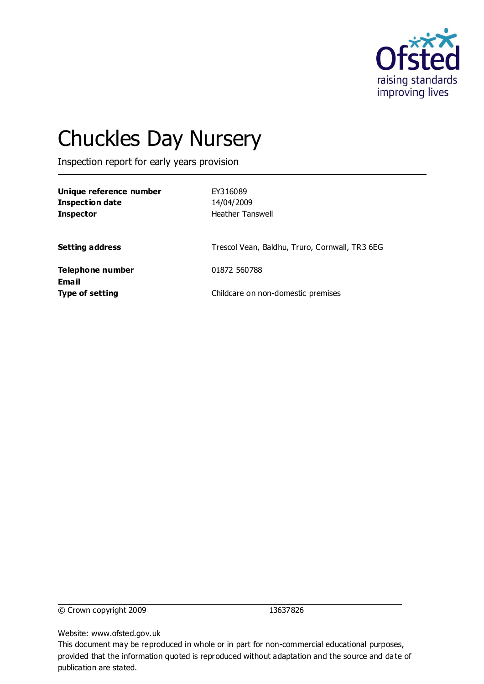

# Chuckles Day Nursery

Inspection report for early years provision

| Unique reference number<br>Inspection date<br>Inspector | EY316089<br>14/04/2009<br><b>Heather Tanswell</b> |
|---------------------------------------------------------|---------------------------------------------------|
| Setting address                                         | Trescol Vean, Baldhu, Truro, Cornwall, TR3 6EG    |
| Telephone number<br>Email                               | 01872 560788                                      |
| Type of setting                                         | Childcare on non-domestic premises                |

© Crown copyright 2009 13637826

Website: www.ofsted.gov.uk

This document may be reproduced in whole or in part for non-commercial educational purposes, provided that the information quoted is reproduced without adaptation and the source and date of publication are stated.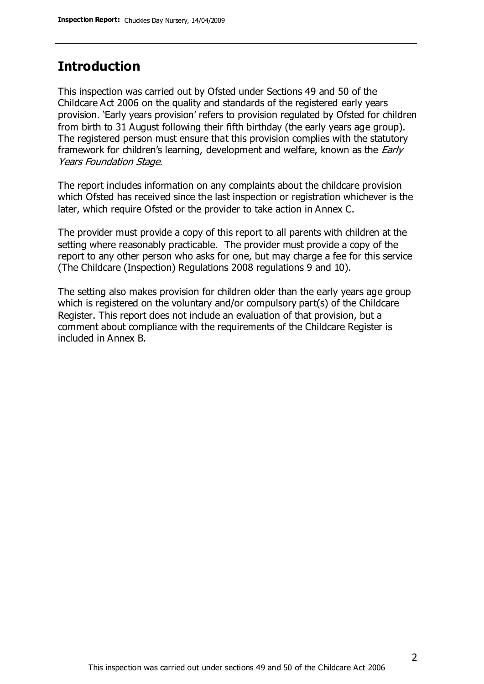### **Introduction**

This inspection was carried out by Ofsted under Sections 49 and 50 of the Childcare Act 2006 on the quality and standards of the registered early years provision. 'Early years provision' refers to provision regulated by Ofsted for children from birth to 31 August following their fifth birthday (the early years age group). The registered person must ensure that this provision complies with the statutory framework for children's learning, development and welfare, known as the *Early* Years Foundation Stage.

The report includes information on any complaints about the childcare provision which Ofsted has received since the last inspection or registration whichever is the later, which require Ofsted or the provider to take action in Annex C.

The provider must provide a copy of this report to all parents with children at the setting where reasonably practicable. The provider must provide a copy of the report to any other person who asks for one, but may charge a fee for this service (The Childcare (Inspection) Regulations 2008 regulations 9 and 10).

The setting also makes provision for children older than the early years age group which is registered on the voluntary and/or compulsory part(s) of the Childcare Register. This report does not include an evaluation of that provision, but a comment about compliance with the requirements of the Childcare Register is included in Annex B.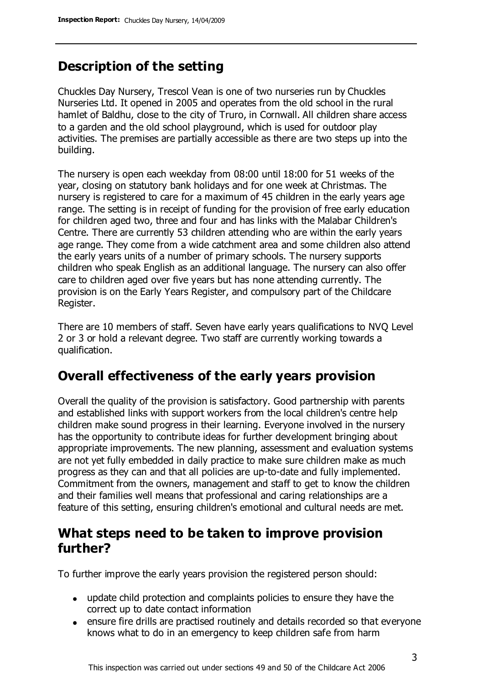# **Description of the setting**

Chuckles Day Nursery, Trescol Vean is one of two nurseries run by Chuckles Nurseries Ltd. It opened in 2005 and operates from the old school in the rural hamlet of Baldhu, close to the city of Truro, in Cornwall. All children share access to a garden and the old school playground, which is used for outdoor play activities. The premises are partially accessible as there are two steps up into the building.

The nursery is open each weekday from 08:00 until 18:00 for 51 weeks of the year, closing on statutory bank holidays and for one week at Christmas. The nursery is registered to care for a maximum of 45 children in the early years age range. The setting is in receipt of funding for the provision of free early education for children aged two, three and four and has links with the Malabar Children's Centre. There are currently 53 children attending who are within the early years age range. They come from a wide catchment area and some children also attend the early years units of a number of primary schools. The nursery supports children who speak English as an additional language. The nursery can also offer care to children aged over five years but has none attending currently. The provision is on the Early Years Register, and compulsory part of the Childcare Register.

There are 10 members of staff. Seven have early years qualifications to NVQ Level 2 or 3 or hold a relevant degree. Two staff are currently working towards a qualification.

### **Overall effectiveness of the early years provision**

Overall the quality of the provision is satisfactory. Good partnership with parents and established links with support workers from the local children's centre help children make sound progress in their learning. Everyone involved in the nursery has the opportunity to contribute ideas for further development bringing about appropriate improvements. The new planning, assessment and evaluation systems are not yet fully embedded in daily practice to make sure children make as much progress as they can and that all policies are up-to-date and fully implemented. Commitment from the owners, management and staff to get to know the children and their families well means that professional and caring relationships are a feature of this setting, ensuring children's emotional and cultural needs are met.

### **What steps need to be taken to improve provision further?**

To further improve the early years provision the registered person should:

- update child protection and complaints policies to ensure they have the correct up to date contact information
- ensure fire drills are practised routinely and details recorded so that everyone knows what to do in an emergency to keep children safe from harm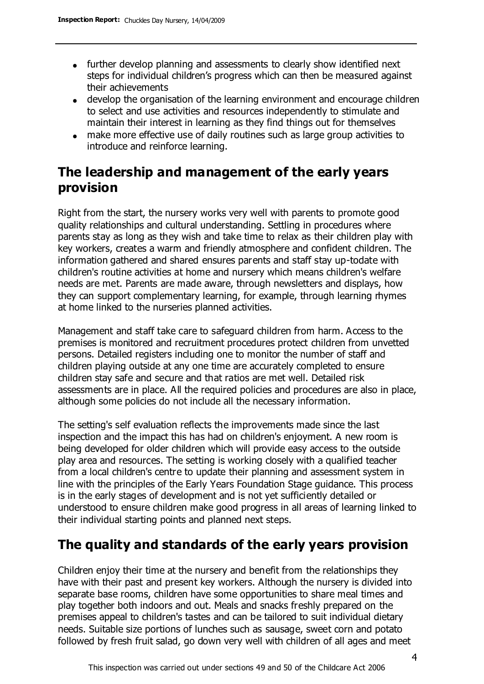- further develop planning and assessments to clearly show identified next steps for individual children's progress which can then be measured against their achievements
- develop the organisation of the learning environment and encourage children to select and use activities and resources independently to stimulate and maintain their interest in learning as they find things out for themselves
- make more effective use of daily routines such as large group activities to introduce and reinforce learning.

# **The leadership and management of the early years provision**

Right from the start, the nursery works very well with parents to promote good quality relationships and cultural understanding. Settling in procedures where parents stay as long as they wish and take time to relax as their children play with key workers, creates a warm and friendly atmosphere and confident children. The information gathered and shared ensures parents and staff stay up-todate with children's routine activities at home and nursery which means children's welfare needs are met. Parents are made aware, through newsletters and displays, how they can support complementary learning, for example, through learning rhymes at home linked to the nurseries planned activities.

Management and staff take care to safeguard children from harm. Access to the premises is monitored and recruitment procedures protect children from unvetted persons. Detailed registers including one to monitor the number of staff and children playing outside at any one time are accurately completed to ensure children stay safe and secure and that ratios are met well. Detailed risk assessments are in place. All the required policies and procedures are also in place, although some policies do not include all the necessary information.

The setting's self evaluation reflects the improvements made since the last inspection and the impact this has had on children's enjoyment. A new room is being developed for older children which will provide easy access to the outside play area and resources. The setting is working closely with a qualified teacher from a local children's centre to update their planning and assessment system in line with the principles of the Early Years Foundation Stage guidance. This process is in the early stages of development and is not yet sufficiently detailed or understood to ensure children make good progress in all areas of learning linked to their individual starting points and planned next steps.

# **The quality and standards of the early years provision**

Children enjoy their time at the nursery and benefit from the relationships they have with their past and present key workers. Although the nursery is divided into separate base rooms, children have some opportunities to share meal times and play together both indoors and out. Meals and snacks freshly prepared on the premises appeal to children's tastes and can be tailored to suit individual dietary needs. Suitable size portions of lunches such as sausage, sweet corn and potato followed by fresh fruit salad, go down very well with children of all ages and meet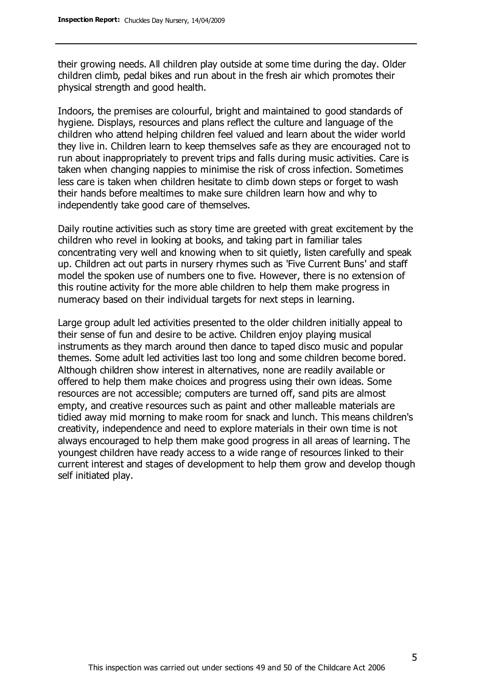their growing needs. All children play outside at some time during the day. Older children climb, pedal bikes and run about in the fresh air which promotes their physical strength and good health.

Indoors, the premises are colourful, bright and maintained to good standards of hygiene. Displays, resources and plans reflect the culture and language of the children who attend helping children feel valued and learn about the wider world they live in. Children learn to keep themselves safe as they are encouraged not to run about inappropriately to prevent trips and falls during music activities. Care is taken when changing nappies to minimise the risk of cross infection. Sometimes less care is taken when children hesitate to climb down steps or forget to wash their hands before mealtimes to make sure children learn how and why to independently take good care of themselves.

Daily routine activities such as story time are greeted with great excitement by the children who revel in looking at books, and taking part in familiar tales concentrating very well and knowing when to sit quietly, listen carefully and speak up. Children act out parts in nursery rhymes such as 'Five Current Buns' and staff model the spoken use of numbers one to five. However, there is no extension of this routine activity for the more able children to help them make progress in numeracy based on their individual targets for next steps in learning.

Large group adult led activities presented to the older children initially appeal to their sense of fun and desire to be active. Children enjoy playing musical instruments as they march around then dance to taped disco music and popular themes. Some adult led activities last too long and some children become bored. Although children show interest in alternatives, none are readily available or offered to help them make choices and progress using their own ideas. Some resources are not accessible; computers are turned off, sand pits are almost empty, and creative resources such as paint and other malleable materials are tidied away mid morning to make room for snack and lunch. This means children's creativity, independence and need to explore materials in their own time is not always encouraged to help them make good progress in all areas of learning. The youngest children have ready access to a wide range of resources linked to their current interest and stages of development to help them grow and develop though self initiated play.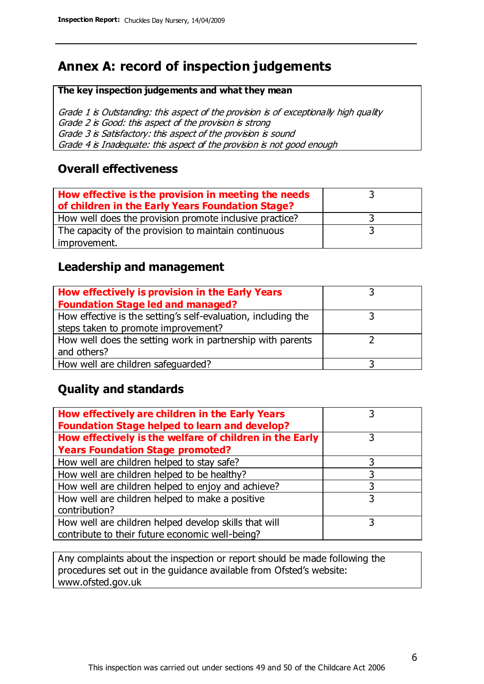# **Annex A: record of inspection judgements**

#### **The key inspection judgements and what they mean**

Grade 1 is Outstanding: this aspect of the provision is of exceptionally high quality Grade 2 is Good: this aspect of the provision is strong Grade 3 is Satisfactory: this aspect of the provision is sound Grade 4 is Inadequate: this aspect of the provision is not good enough

#### **Overall effectiveness**

| How effective is the provision in meeting the needs<br>of children in the Early Years Foundation Stage? |  |
|---------------------------------------------------------------------------------------------------------|--|
| How well does the provision promote inclusive practice?                                                 |  |
| The capacity of the provision to maintain continuous                                                    |  |
| improvement.                                                                                            |  |

### **Leadership and management**

| How effectively is provision in the Early Years               |  |
|---------------------------------------------------------------|--|
| <b>Foundation Stage led and managed?</b>                      |  |
| How effective is the setting's self-evaluation, including the |  |
| steps taken to promote improvement?                           |  |
| How well does the setting work in partnership with parents    |  |
| and others?                                                   |  |
| How well are children safeguarded?                            |  |

### **Quality and standards**

| How effectively are children in the Early Years<br><b>Foundation Stage helped to learn and develop?</b> |   |
|---------------------------------------------------------------------------------------------------------|---|
| How effectively is the welfare of children in the Early                                                 | 3 |
| <b>Years Foundation Stage promoted?</b>                                                                 |   |
| How well are children helped to stay safe?                                                              |   |
| How well are children helped to be healthy?                                                             | 3 |
| How well are children helped to enjoy and achieve?                                                      | 3 |
| How well are children helped to make a positive                                                         | 3 |
| contribution?                                                                                           |   |
| How well are children helped develop skills that will                                                   |   |
| contribute to their future economic well-being?                                                         |   |

Any complaints about the inspection or report should be made following the procedures set out in the guidance available from Ofsted's website: www.ofsted.gov.uk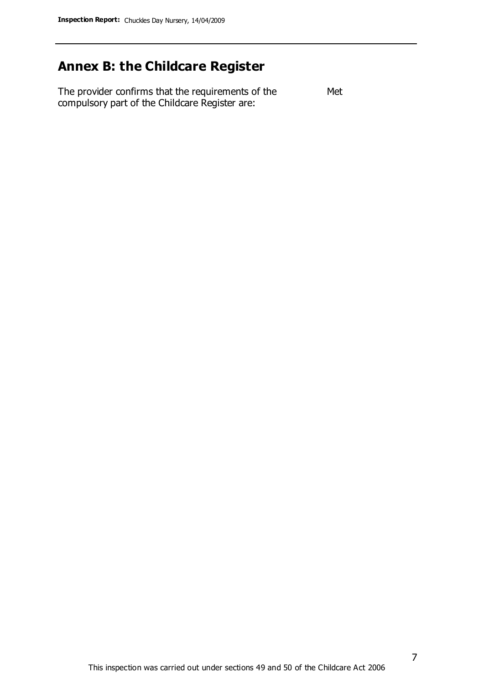# **Annex B: the Childcare Register**

The provider confirms that the requirements of the compulsory part of the Childcare Register are: Met